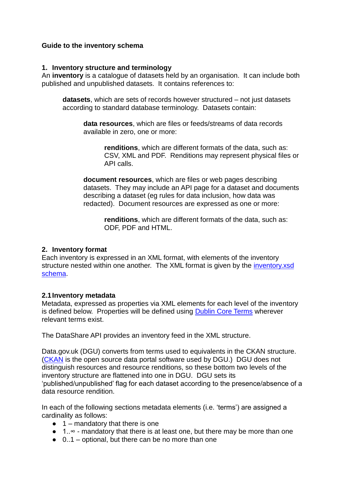## **Guide to the inventory schema**

#### **1. Inventory structure and terminology**

An **inventory** is a catalogue of datasets held by an organisation. It can include both published and unpublished datasets. It contains references to:

**datasets**, which are sets of records however structured – not just datasets according to standard database terminology. Datasets contain:

**data resources**, which are files or feeds/streams of data records available in zero, one or more:

**renditions**, which are different formats of the data, such as: CSV, XML and PDF. Renditions may represent physical files or API calls.

**document resources**, which are files or web pages describing datasets. They may include an API page for a dataset and documents describing a dataset (eg rules for data inclusion, how data was redacted). Document resources are expressed as one or more:

**renditions**, which are different formats of the data, such as: ODF, PDF and HTML.

## **2. Inventory format**

Each inventory is expressed in an XML format, with elements of the inventory structure nested within one another. The XML format is given by the inventory xsd [schema.](http://schemas.opendata.esd.org.uk/inventory/inventory.xsd)

#### **2.1Inventory metadata**

Metadata, expressed as properties via XML elements for each level of the inventory is defined below. Properties will be defined using [Dublin](http://dublincore.org/documents/dcmi-terms/) [Core](http://dublincore.org/documents/dcmi-terms/) [Terms](http://dublincore.org/documents/dcmi-terms/) wherever relevant terms exist.

The DataShare API provides an inventory feed in the XML structure.

Data.gov.uk (DGU) converts from terms used to equivalents in the CKAN structure. [\(CKAN](http://ckan.org/) is the open source data portal software used by DGU.) DGU does not distinguish resources and resource renditions, so these bottom two levels of the inventory structure are flattened into one in DGU. DGU sets its 'published/unpublished' flag for each dataset according to the presence/absence of a data resource rendition.

In each of the following sections metadata elements (i.e. 'terms') are assigned a cardinality as follows:

- $\bullet$  1 mandatory that there is one
- 1..∞ mandatory that there is at least one, but there may be more than one
- $\bullet$  0..1 optional, but there can be no more than one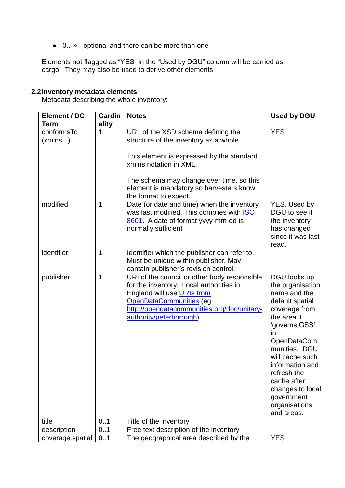● 0.. ∞ - optional and there can be more than one

Elements not flagged as "YES" in the "Used by DGU" column will be carried as cargo. They may also be used to derive other elements.

# **2.2Inventory metadata elements**

Metadata describing the whole inventory:

| Element / DC          | <b>Cardin</b> | <b>Notes</b>                                                                                                                                                                                                                | <b>Used by DGU</b>                                                                                                                                                                                                                                                                                            |
|-----------------------|---------------|-----------------------------------------------------------------------------------------------------------------------------------------------------------------------------------------------------------------------------|---------------------------------------------------------------------------------------------------------------------------------------------------------------------------------------------------------------------------------------------------------------------------------------------------------------|
| Term                  | ality         |                                                                                                                                                                                                                             |                                                                                                                                                                                                                                                                                                               |
| conformsTo<br>(xmlns) | $\mathbf 1$   | URL of the XSD schema defining the<br>structure of the inventory as a whole.                                                                                                                                                | <b>YES</b>                                                                                                                                                                                                                                                                                                    |
|                       |               | This element is expressed by the standard<br>xmlns notation in XML.                                                                                                                                                         |                                                                                                                                                                                                                                                                                                               |
|                       |               | The schema may change over time, so this<br>element is mandatory so harvesters know<br>the format to expect.                                                                                                                |                                                                                                                                                                                                                                                                                                               |
| modified              | 1             | Date (or date and time) when the inventory<br>was last modified. This complies with <b>ISO</b><br>8601. A date of format yyyy-mm-dd is<br>normally sufficient                                                               | YES. Used by<br>DGU to see if<br>the inventory<br>has changed<br>since it was last<br>read.                                                                                                                                                                                                                   |
| identifier            | $\mathbf{1}$  | Identifier which the publisher can refer to.<br>Must be unique within publisher. May<br>contain publisher's revision control.                                                                                               |                                                                                                                                                                                                                                                                                                               |
| publisher             | 1             | URI of the council or other body responsible<br>for the inventory. Local authorities in<br>England will use URIs from<br>OpenDataCommunities (eg<br>http://opendatacommunities.org/doc/unitary-<br>authority/peterborough). | DGU looks up<br>the organisation<br>name and the<br>default spatial<br>coverage from<br>the area it<br>'governs GSS'<br><i>in</i><br><b>OpenDataCom</b><br>munities. DGU<br>will cache such<br>information and<br>refresh the<br>cache after<br>changes to local<br>government<br>organisations<br>and areas. |
| title                 | 0.1           | Title of the inventory                                                                                                                                                                                                      |                                                                                                                                                                                                                                                                                                               |
| description           | 0.1           | Free text description of the inventory                                                                                                                                                                                      |                                                                                                                                                                                                                                                                                                               |
| coverage.spatial      | 01            | The geographical area described by the                                                                                                                                                                                      | <b>YES</b>                                                                                                                                                                                                                                                                                                    |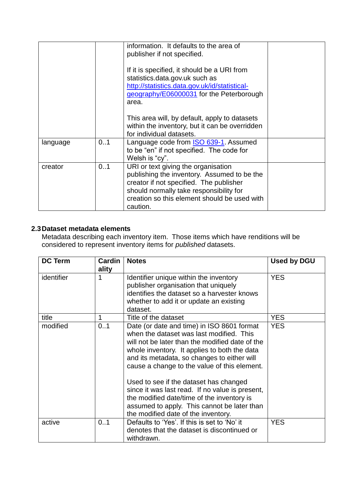|          |     | information. It defaults to the area of<br>publisher if not specified.<br>If it is specified, it should be a URI from<br>statistics.data.gov.uk such as<br>http://statistics.data.gov.uk/id/statistical-<br>geography/E06000031 for the Peterborough<br>area.<br>This area will, by default, apply to datasets<br>within the inventory, but it can be overridden |  |
|----------|-----|------------------------------------------------------------------------------------------------------------------------------------------------------------------------------------------------------------------------------------------------------------------------------------------------------------------------------------------------------------------|--|
|          |     | for individual datasets.                                                                                                                                                                                                                                                                                                                                         |  |
| language | 0.1 | Language code from <b>ISO 639-1</b> . Assumed<br>to be "en" if not specified. The code for<br>Welsh is "cy".                                                                                                                                                                                                                                                     |  |
| creator  | 01  | URI or text giving the organisation<br>publishing the inventory. Assumed to be the<br>creator if not specified. The publisher<br>should normally take responsibility for<br>creation so this element should be used with<br>caution.                                                                                                                             |  |

# **2.3Dataset metadata elements**

Metadata describing each inventory item. Those items which have renditions will be considered to represent inventory items for *published* datasets.

| <b>DC Term</b> | Cardin<br>ality | <b>Notes</b>                                                                                                                                                                                                                                                                                                                                                                                                                                                                                                              | Used by DGU |
|----------------|-----------------|---------------------------------------------------------------------------------------------------------------------------------------------------------------------------------------------------------------------------------------------------------------------------------------------------------------------------------------------------------------------------------------------------------------------------------------------------------------------------------------------------------------------------|-------------|
| identifier     | 1               | Identifier unique within the inventory<br>publisher organisation that uniquely<br>identifies the dataset so a harvester knows<br>whether to add it or update an existing<br>dataset.                                                                                                                                                                                                                                                                                                                                      | <b>YES</b>  |
| title          | 1               | Title of the dataset                                                                                                                                                                                                                                                                                                                                                                                                                                                                                                      | <b>YES</b>  |
| modified       | 0.1             | Date (or date and time) in ISO 8601 format<br>when the dataset was last modified. This<br>will not be later than the modified date of the<br>whole inventory. It applies to both the data<br>and its metadata, so changes to either will<br>cause a change to the value of this element.<br>Used to see if the dataset has changed<br>since it was last read. If no value is present,<br>the modified date/time of the inventory is<br>assumed to apply. This cannot be later than<br>the modified date of the inventory. | <b>YES</b>  |
| active         | 01              | Defaults to 'Yes'. If this is set to 'No' it<br>denotes that the dataset is discontinued or<br>withdrawn.                                                                                                                                                                                                                                                                                                                                                                                                                 | <b>YES</b>  |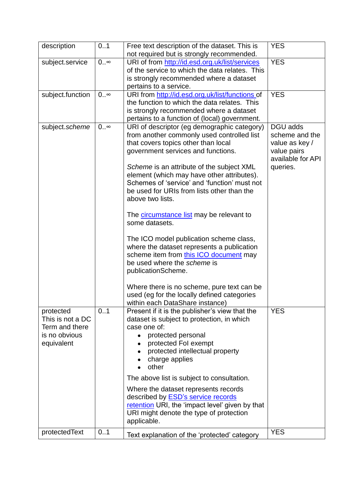| description                                                                    | 0.1       | Free text description of the dataset. This is<br>not required but is strongly recommended.                                                                                                                                                                                                                                                                                                                                                                                                                                                                                                                                                                                                                                                                                              | <b>YES</b>                                                                                   |
|--------------------------------------------------------------------------------|-----------|-----------------------------------------------------------------------------------------------------------------------------------------------------------------------------------------------------------------------------------------------------------------------------------------------------------------------------------------------------------------------------------------------------------------------------------------------------------------------------------------------------------------------------------------------------------------------------------------------------------------------------------------------------------------------------------------------------------------------------------------------------------------------------------------|----------------------------------------------------------------------------------------------|
| subject.service                                                                | $0\infty$ | URI of from http://id.esd.org.uk/list/services<br>of the service to which the data relates. This<br>is strongly recommended where a dataset<br>pertains to a service.                                                                                                                                                                                                                                                                                                                                                                                                                                                                                                                                                                                                                   | <b>YES</b>                                                                                   |
| subject.function                                                               | $0\infty$ | URI from http://id.esd.org.uk/list/functions of<br>the function to which the data relates. This<br>is strongly recommended where a dataset<br>pertains to a function of (local) government.                                                                                                                                                                                                                                                                                                                                                                                                                                                                                                                                                                                             | <b>YES</b>                                                                                   |
| subject.scheme                                                                 | $0\infty$ | URI of descriptor (eg demographic category)<br>from another commonly used controlled list<br>that covers topics other than local<br>government services and functions.<br>Scheme is an attribute of the subject XML<br>element (which may have other attributes).<br>Schemes of 'service' and 'function' must not<br>be used for URIs from lists other than the<br>above two lists.<br>The <b>circumstance list</b> may be relevant to<br>some datasets.<br>The ICO model publication scheme class,<br>where the dataset represents a publication<br>scheme item from this ICO document may<br>be used where the <i>scheme</i> is<br>publicationScheme.<br>Where there is no scheme, pure text can be<br>used (eg for the locally defined categories<br>within each DataShare instance) | DGU adds<br>scheme and the<br>value as key /<br>value pairs<br>available for API<br>queries. |
| protected<br>This is not a DC<br>Term and there<br>is no obvious<br>equivalent | 0.1       | Present if it is the publisher's view that the<br>dataset is subject to protection, in which<br>case one of:<br>protected personal<br>$\bullet$<br>protected Fol exempt<br>protected intellectual property<br>charge applies<br>other<br>The above list is subject to consultation.<br>Where the dataset represents records<br>described by <b>ESD's service records</b><br>retention URI, the 'impact level' given by that<br>URI might denote the type of protection<br>applicable.                                                                                                                                                                                                                                                                                                   | <b>YES</b>                                                                                   |
| protectedText                                                                  | 01        | Text explanation of the 'protected' category                                                                                                                                                                                                                                                                                                                                                                                                                                                                                                                                                                                                                                                                                                                                            | <b>YES</b>                                                                                   |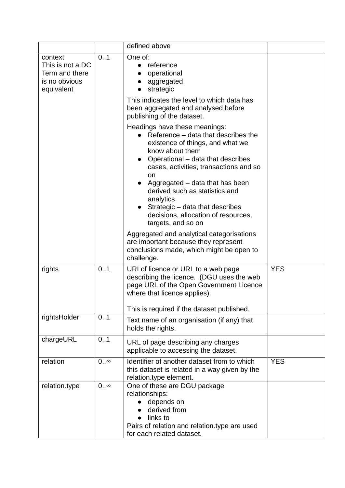|                                                                              |           | defined above                                                                                                                                                                                                                                                                                                                                                                                      |            |
|------------------------------------------------------------------------------|-----------|----------------------------------------------------------------------------------------------------------------------------------------------------------------------------------------------------------------------------------------------------------------------------------------------------------------------------------------------------------------------------------------------------|------------|
| context<br>This is not a DC<br>Term and there<br>is no obvious<br>equivalent | 0.1       | One of:<br>reference<br>$\bullet$<br>operational<br>aggregated<br>strategic                                                                                                                                                                                                                                                                                                                        |            |
|                                                                              |           | This indicates the level to which data has<br>been aggregated and analysed before<br>publishing of the dataset.                                                                                                                                                                                                                                                                                    |            |
|                                                                              |           | Headings have these meanings:<br>Reference – data that describes the<br>existence of things, and what we<br>know about them<br>Operational - data that describes<br>cases, activities, transactions and so<br>on<br>Aggregated – data that has been<br>derived such as statistics and<br>analytics<br>Strategic - data that describes<br>decisions, allocation of resources,<br>targets, and so on |            |
|                                                                              |           | Aggregated and analytical categorisations<br>are important because they represent<br>conclusions made, which might be open to<br>challenge.                                                                                                                                                                                                                                                        |            |
| rights                                                                       | 0.1       | URI of licence or URL to a web page<br>describing the licence. (DGU uses the web<br>page URL of the Open Government Licence<br>where that licence applies).<br>This is required if the dataset published.                                                                                                                                                                                          | <b>YES</b> |
| rightsHolder                                                                 | 0.1       | Text name of an organisation (if any) that<br>holds the rights.                                                                                                                                                                                                                                                                                                                                    |            |
| chargeURL                                                                    | 0.1       | URL of page describing any charges<br>applicable to accessing the dataset.                                                                                                                                                                                                                                                                                                                         |            |
| relation                                                                     | $0\infty$ | Identifier of another dataset from to which<br>this dataset is related in a way given by the<br>relation.type element.                                                                                                                                                                                                                                                                             | <b>YES</b> |
| relation.type                                                                | $0\infty$ | One of these are DGU package<br>relationships:<br>depends on<br>derived from<br>links to<br>Pairs of relation and relation.type are used<br>for each related dataset.                                                                                                                                                                                                                              |            |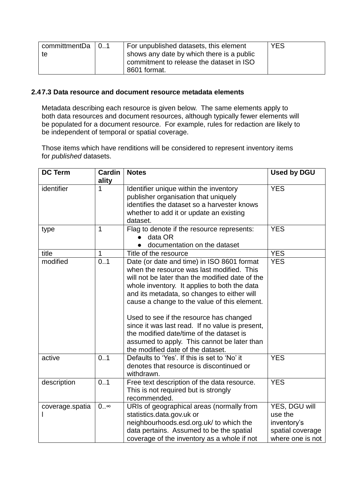| committmentDa | 10.1 | For unpublished datasets, this element    | <b>YES</b> |
|---------------|------|-------------------------------------------|------------|
| te            |      | shows any date by which there is a public |            |
|               |      | commitment to release the dataset in ISO  |            |
|               |      | 8601 format.                              |            |

#### **2.47.3 Data resource and document resource metadata elements**

Metadata describing each resource is given below. The same elements apply to both data resources and document resources, although typically fewer elements will be populated for a document resource. For example, rules for redaction are likely to be independent of temporal or spatial coverage.

Those items which have renditions will be considered to represent inventory items for *published* datasets.

| <b>DC Term</b>  | <b>Cardin</b><br>ality | <b>Notes</b>                                                                                                                                                                                                                                                                                                                                                                                                                                                                                                            | <b>Used by DGU</b>                                                              |
|-----------------|------------------------|-------------------------------------------------------------------------------------------------------------------------------------------------------------------------------------------------------------------------------------------------------------------------------------------------------------------------------------------------------------------------------------------------------------------------------------------------------------------------------------------------------------------------|---------------------------------------------------------------------------------|
| identifier      | 1                      | Identifier unique within the inventory<br>publisher organisation that uniquely<br>identifies the dataset so a harvester knows<br>whether to add it or update an existing<br>dataset.                                                                                                                                                                                                                                                                                                                                    | <b>YES</b>                                                                      |
| type            | $\mathbf 1$            | Flag to denote if the resource represents:<br>data OR<br>documentation on the dataset                                                                                                                                                                                                                                                                                                                                                                                                                                   | <b>YES</b>                                                                      |
| title           | 1                      | Title of the resource                                                                                                                                                                                                                                                                                                                                                                                                                                                                                                   | <b>YES</b>                                                                      |
| modified        | 0.1                    | Date (or date and time) in ISO 8601 format<br>when the resource was last modified. This<br>will not be later than the modified date of the<br>whole inventory. It applies to both the data<br>and its metadata, so changes to either will<br>cause a change to the value of this element.<br>Used to see if the resource has changed<br>since it was last read. If no value is present,<br>the modified date/time of the dataset is<br>assumed to apply. This cannot be later than<br>the modified date of the dataset. | <b>YES</b>                                                                      |
| active          | 0.1                    | Defaults to 'Yes'. If this is set to 'No' it<br>denotes that resource is discontinued or<br>withdrawn.                                                                                                                                                                                                                                                                                                                                                                                                                  | <b>YES</b>                                                                      |
| description     | 0.1                    | Free text description of the data resource.<br>This is not required but is strongly<br>recommended.                                                                                                                                                                                                                                                                                                                                                                                                                     | <b>YES</b>                                                                      |
| coverage.spatia | $0\infty$              | URIs of geographical areas (normally from<br>statistics.data.gov.uk or<br>neighbourhoods.esd.org.uk/ to which the<br>data pertains. Assumed to be the spatial<br>coverage of the inventory as a whole if not                                                                                                                                                                                                                                                                                                            | YES, DGU will<br>use the<br>inventory's<br>spatial coverage<br>where one is not |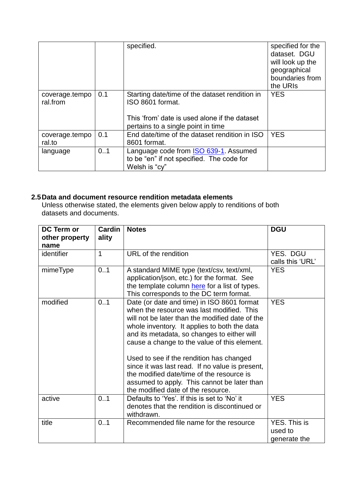|                            |     | specified.                                                                                                                                                | specified for the<br>dataset. DGU<br>will look up the<br>geographical<br>boundaries from<br>the URIs |
|----------------------------|-----|-----------------------------------------------------------------------------------------------------------------------------------------------------------|------------------------------------------------------------------------------------------------------|
| coverage.tempo<br>ral.from | 0.1 | Starting date/time of the dataset rendition in<br>ISO 8601 format.<br>This 'from' date is used alone if the dataset<br>pertains to a single point in time | <b>YES</b>                                                                                           |
| coverage.tempo<br>ral.to   | 0.1 | End date/time of the dataset rendition in ISO<br>8601 format.                                                                                             | <b>YES</b>                                                                                           |
| language                   | 0.1 | Language code from <b>ISO 639-1</b> . Assumed<br>to be "en" if not specified. The code for<br>Welsh is "cy"                                               |                                                                                                      |

# **2.5Data and document resource rendition metadata elements**

Unless otherwise stated, the elements given below apply to renditions of both datasets and documents.

| <b>DC Term or</b><br>other property<br>name | Cardin<br>ality | <b>Notes</b>                                                                                                                                                                                                                                                                                                                                                                                                                                                                                                               | <b>DGU</b>                              |
|---------------------------------------------|-----------------|----------------------------------------------------------------------------------------------------------------------------------------------------------------------------------------------------------------------------------------------------------------------------------------------------------------------------------------------------------------------------------------------------------------------------------------------------------------------------------------------------------------------------|-----------------------------------------|
| identifier                                  | 1               | URL of the rendition                                                                                                                                                                                                                                                                                                                                                                                                                                                                                                       | YES. DGU<br>calls this 'URL'            |
| mimeType                                    | 0.1             | A standard MIME type (text/csv, text/xml,<br>application/json, etc.) for the format. See<br>the template column here for a list of types.<br>This corresponds to the DC term format.                                                                                                                                                                                                                                                                                                                                       | <b>YES</b>                              |
| modified                                    | 01              | Date (or date and time) in ISO 8601 format<br>when the resource was last modified. This<br>will not be later than the modified date of the<br>whole inventory. It applies to both the data<br>and its metadata, so changes to either will<br>cause a change to the value of this element.<br>Used to see if the rendition has changed<br>since it was last read. If no value is present,<br>the modified date/time of the resource is<br>assumed to apply. This cannot be later than<br>the modified date of the resource. | <b>YES</b>                              |
| active                                      | 0.1             | Defaults to 'Yes'. If this is set to 'No' it<br>denotes that the rendition is discontinued or<br>withdrawn.                                                                                                                                                                                                                                                                                                                                                                                                                | <b>YES</b>                              |
| title                                       | 0.1             | Recommended file name for the resource                                                                                                                                                                                                                                                                                                                                                                                                                                                                                     | YES. This is<br>used to<br>generate the |